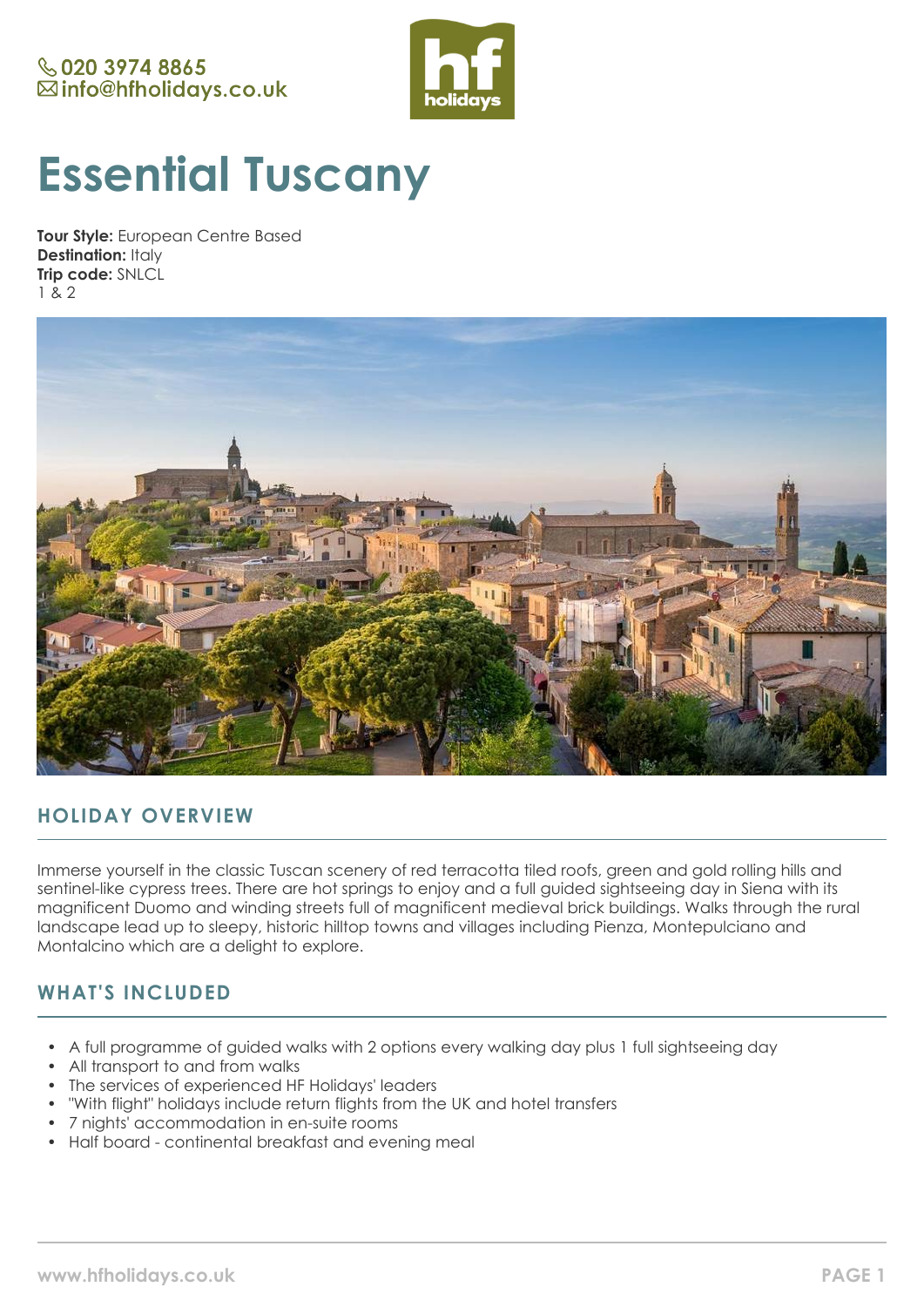

# **Essential Tuscany**

**Tour Style:** European Centre Based **Destination:** Italy **Trip code:** SNLCL 1 & 2



# **HOLIDAY OVERVIEW**

Immerse yourself in the classic Tuscan scenery of red terracotta tiled roofs, green and gold rolling hills and sentinel-like cypress trees. There are hot springs to enjoy and a full guided sightseeing day in Siena with its magnificent Duomo and winding streets full of magnificent medieval brick buildings. Walks through the rural landscape lead up to sleepy, historic hilltop towns and villages including Pienza, Montepulciano and Montalcino which are a delight to explore.

# **WHAT'S INCLUDED**

- A full programme of guided walks with 2 options every walking day plus 1 full sightseeing day
- All transport to and from walks
- The services of experienced HF Holidays' leaders
- "With flight" holidays include return flights from the UK and hotel transfers
- 7 nights' accommodation in en-suite rooms
- Half board continental breakfast and evening meal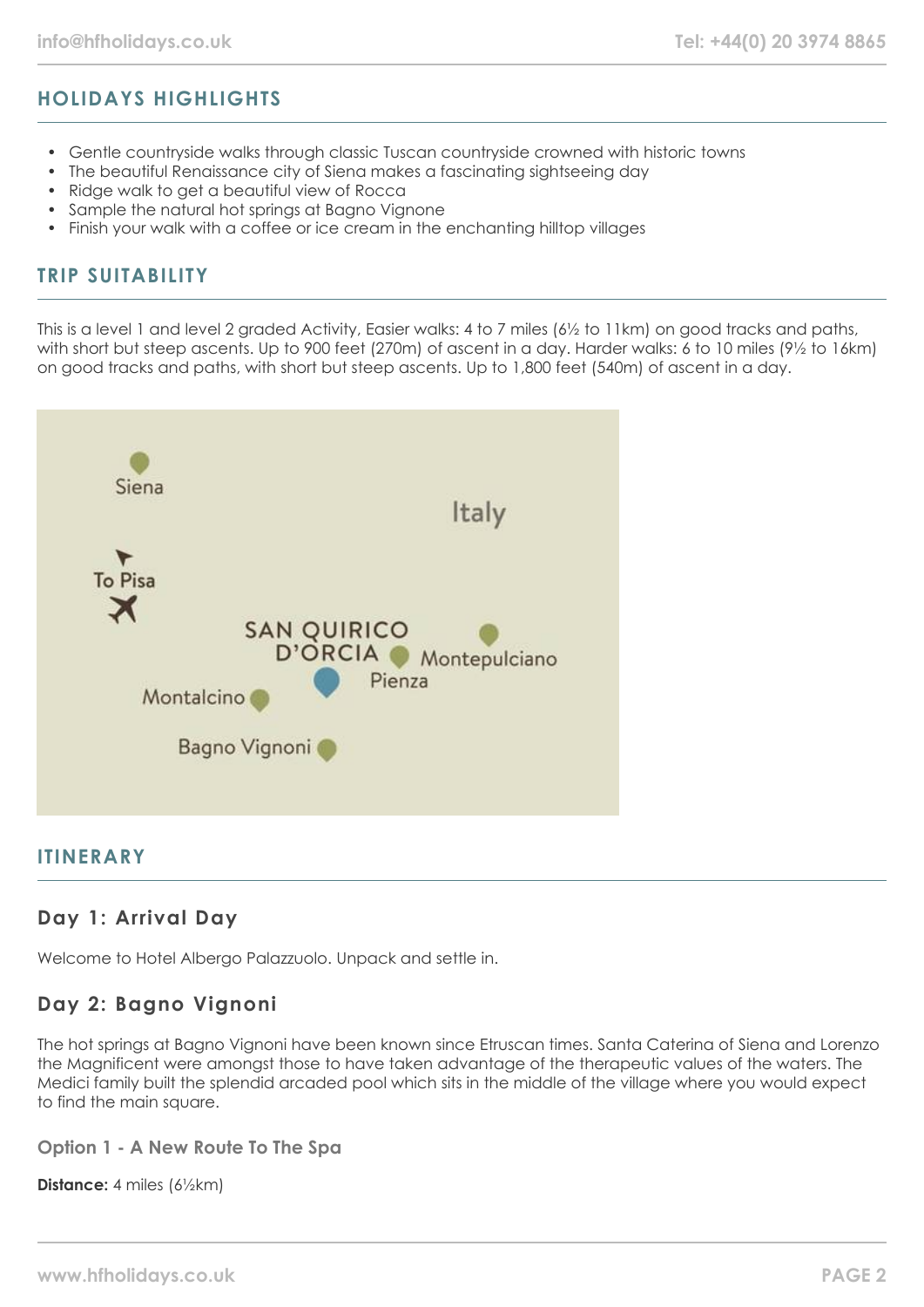# **HOLIDAYS HIGHLIGHTS**

- Gentle countryside walks through classic Tuscan countryside crowned with historic towns
- The beautiful Renaissance city of Siena makes a fascinating sightseeing day
- Ridge walk to get a beautiful view of Rocca
- Sample the natural hot springs at Bagno Vignone
- Finish your walk with a coffee or ice cream in the enchanting hilltop villages

## **TRIP SUITABILITY**

This is a level 1 and level 2 graded Activity, Easier walks: 4 to 7 miles (6½ to 11km) on good tracks and paths, with short but steep ascents. Up to 900 feet (270m) of ascent in a day. Harder walks: 6 to 10 miles (9½ to 16km) on good tracks and paths, with short but steep ascents. Up to 1,800 feet (540m) of ascent in a day.



#### **ITINERARY**

## **Day 1: Arrival Day**

Welcome to Hotel Albergo Palazzuolo. Unpack and settle in.

## **Day 2: Bagno Vignoni**

The hot springs at Bagno Vignoni have been known since Etruscan times. Santa Caterina of Siena and Lorenzo the Magnificent were amongst those to have taken advantage of the therapeutic values of the waters. The Medici family built the splendid arcaded pool which sits in the middle of the village where you would expect to find the main square.

**Option 1 - A New Route To The Spa**

**Distance:** 4 miles (6½km)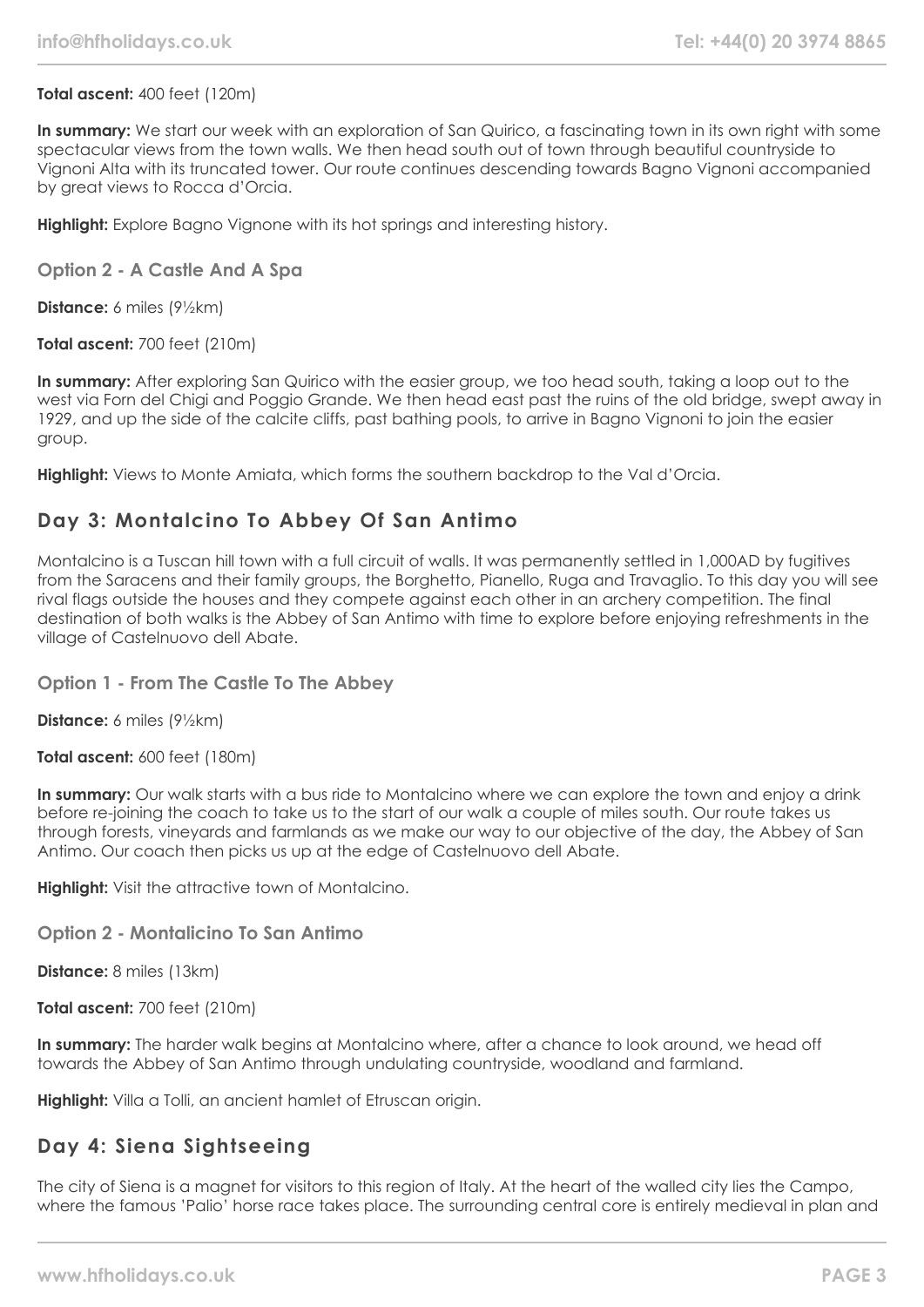#### **Total ascent:** 400 feet (120m)

**In summary:** We start our week with an exploration of San Quirico, a fascinating town in its own right with some spectacular views from the town walls. We then head south out of town through beautiful countryside to Vignoni Alta with its truncated tower. Our route continues descending towards Bagno Vignoni accompanied by great views to Rocca d'Orcia.

**Highlight:** Explore Bagno Vignone with its hot springs and interesting history.

#### **Option 2 - A Castle And A Spa**

**Distance:** 6 miles (9½km)

**Total ascent:** 700 feet (210m)

In summary: After exploring San Quirico with the easier group, we too head south, taking a loop out to the west via Forn del Chigi and Poggio Grande. We then head east past the ruins of the old bridge, swept away in 1929, and up the side of the calcite cliffs, past bathing pools, to arrive in Bagno Vignoni to join the easier group.

**Highlight:** Views to Monte Amiata, which forms the southern backdrop to the Val d'Orcia.

#### **Day 3: Montalcino To Abbey Of San Antimo**

Montalcino is a Tuscan hill town with a full circuit of walls. It was permanently settled in 1,000AD by fugitives from the Saracens and their family groups, the Borghetto, Pianello, Ruga and Travaglio. To this day you will see rival flags outside the houses and they compete against each other in an archery competition. The final destination of both walks is the Abbey of San Antimo with time to explore before enjoying refreshments in the village of Castelnuovo dell Abate.

#### **Option 1 - From The Castle To The Abbey**

**Distance:** 6 miles (9½km)

**Total ascent:** 600 feet (180m)

**In summary:** Our walk starts with a bus ride to Montalcino where we can explore the town and enjoy a drink before re-joining the coach to take us to the start of our walk a couple of miles south. Our route takes us through forests, vineyards and farmlands as we make our way to our objective of the day, the Abbey of San Antimo. Our coach then picks us up at the edge of Castelnuovo dell Abate.

**Highlight:** Visit the attractive town of Montalcino.

#### **Option 2 - Montalicino To San Antimo**

**Distance:** 8 miles (13km)

**Total ascent:** 700 feet (210m)

**In summary:** The harder walk begins at Montalcino where, after a chance to look around, we head off towards the Abbey of San Antimo through undulating countryside, woodland and farmland.

**Highlight:** Villa a Tolli, an ancient hamlet of Etruscan origin.

#### **Day 4: Siena Sightseeing**

The city of Siena is a magnet for visitors to this region of Italy. At the heart of the walled city lies the Campo, where the famous 'Palio' horse race takes place. The surrounding central core is entirely medieval in plan and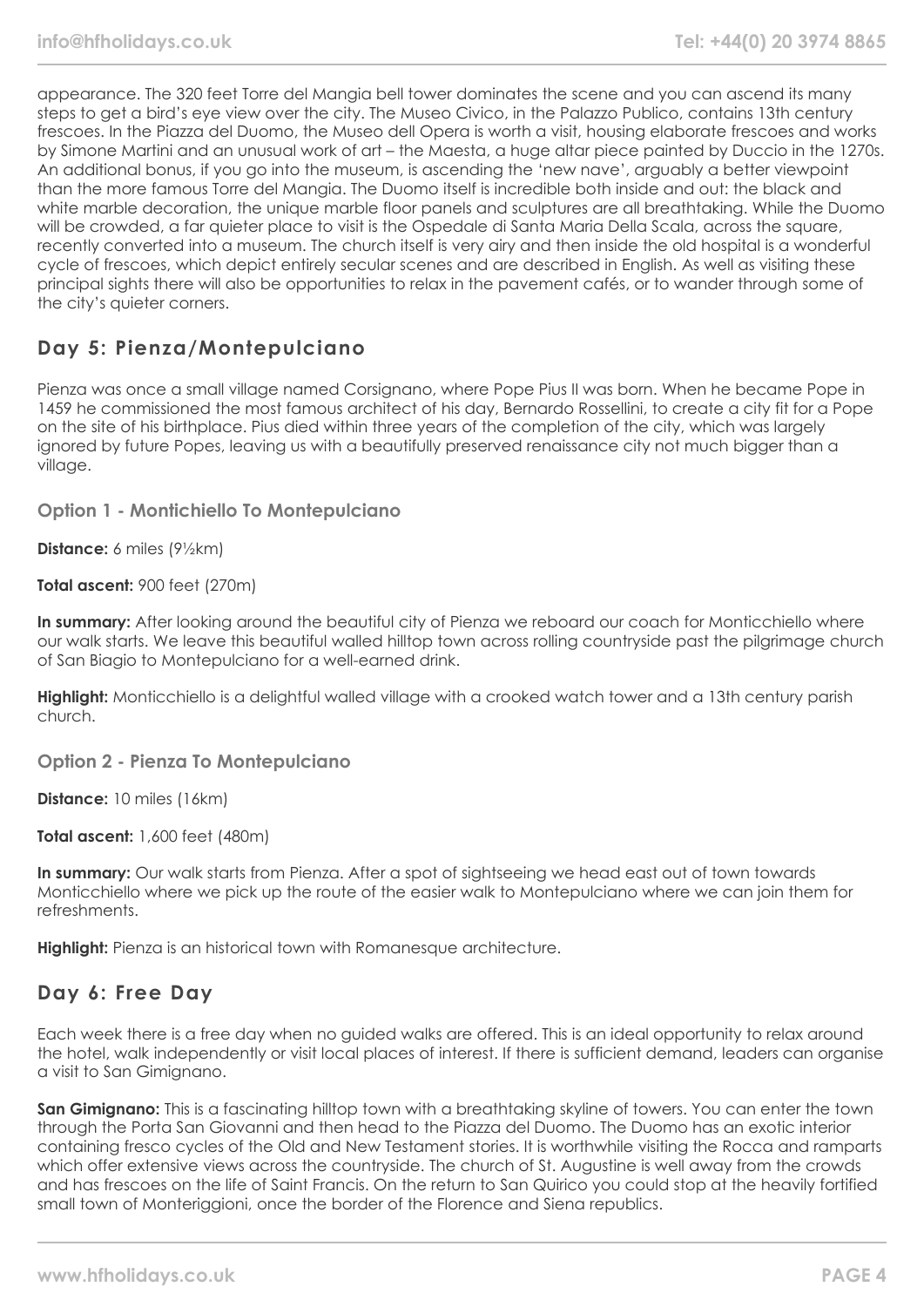appearance. The 320 feet Torre del Mangia bell tower dominates the scene and you can ascend its many steps to get a bird's eye view over the city. The Museo Civico, in the Palazzo Publico, contains 13th century frescoes. In the Piazza del Duomo, the Museo dell Opera is worth a visit, housing elaborate frescoes and works by Simone Martini and an unusual work of art – the Maesta, a huge altar piece painted by Duccio in the 1270s. An additional bonus, if you go into the museum, is ascending the 'new nave', arguably a better viewpoint than the more famous Torre del Mangia. The Duomo itself is incredible both inside and out: the black and white marble decoration, the unique marble floor panels and sculptures are all breathtaking. While the Duomo will be crowded, a far quieter place to visit is the Ospedale di Santa Maria Della Scala, across the square, recently converted into a museum. The church itself is very airy and then inside the old hospital is a wonderful cycle of frescoes, which depict entirely secular scenes and are described in English. As well as visiting these principal sights there will also be opportunities to relax in the pavement cafés, or to wander through some of the city's quieter corners.

# **Day 5: Pienza/Montepulciano**

Pienza was once a small village named Corsignano, where Pope Pius II was born. When he became Pope in 1459 he commissioned the most famous architect of his day, Bernardo Rossellini, to create a city fit for a Pope on the site of his birthplace. Pius died within three years of the completion of the city, which was largely ignored by future Popes, leaving us with a beautifully preserved renaissance city not much bigger than a village.

**Option 1 - Montichiello To Montepulciano**

**Distance:** 6 miles (9½km)

**Total ascent:** 900 feet (270m)

**In summary:** After looking around the beautiful city of Pienza we reboard our coach for Monticchiello where our walk starts. We leave this beautiful walled hilltop town across rolling countryside past the pilgrimage church of San Biagio to Montepulciano for a well-earned drink.

**Highlight:** Monticchiello is a delightful walled village with a crooked watch tower and a 13th century parish church.

**Option 2 - Pienza To Montepulciano**

**Distance:** 10 miles (16km)

**Total ascent:** 1,600 feet (480m)

**In summary:** Our walk starts from Pienza. After a spot of sightseeing we head east out of town towards Monticchiello where we pick up the route of the easier walk to Montepulciano where we can join them for refreshments.

**Highlight:** Pienza is an historical town with Romanesque architecture.

#### **Day 6: Free Day**

Each week there is a free day when no guided walks are offered. This is an ideal opportunity to relax around the hotel, walk independently or visit local places of interest. If there is sufficient demand, leaders can organise a visit to San Gimignano.

**San Gimignano:** This is a fascinating hilltop town with a breathtaking skyline of towers. You can enter the town through the Porta San Giovanni and then head to the Piazza del Duomo. The Duomo has an exotic interior containing fresco cycles of the Old and New Testament stories. It is worthwhile visiting the Rocca and ramparts which offer extensive views across the countryside. The church of St. Augustine is well away from the crowds and has frescoes on the life of Saint Francis. On the return to San Quirico you could stop at the heavily fortified small town of Monteriggioni, once the border of the Florence and Siena republics.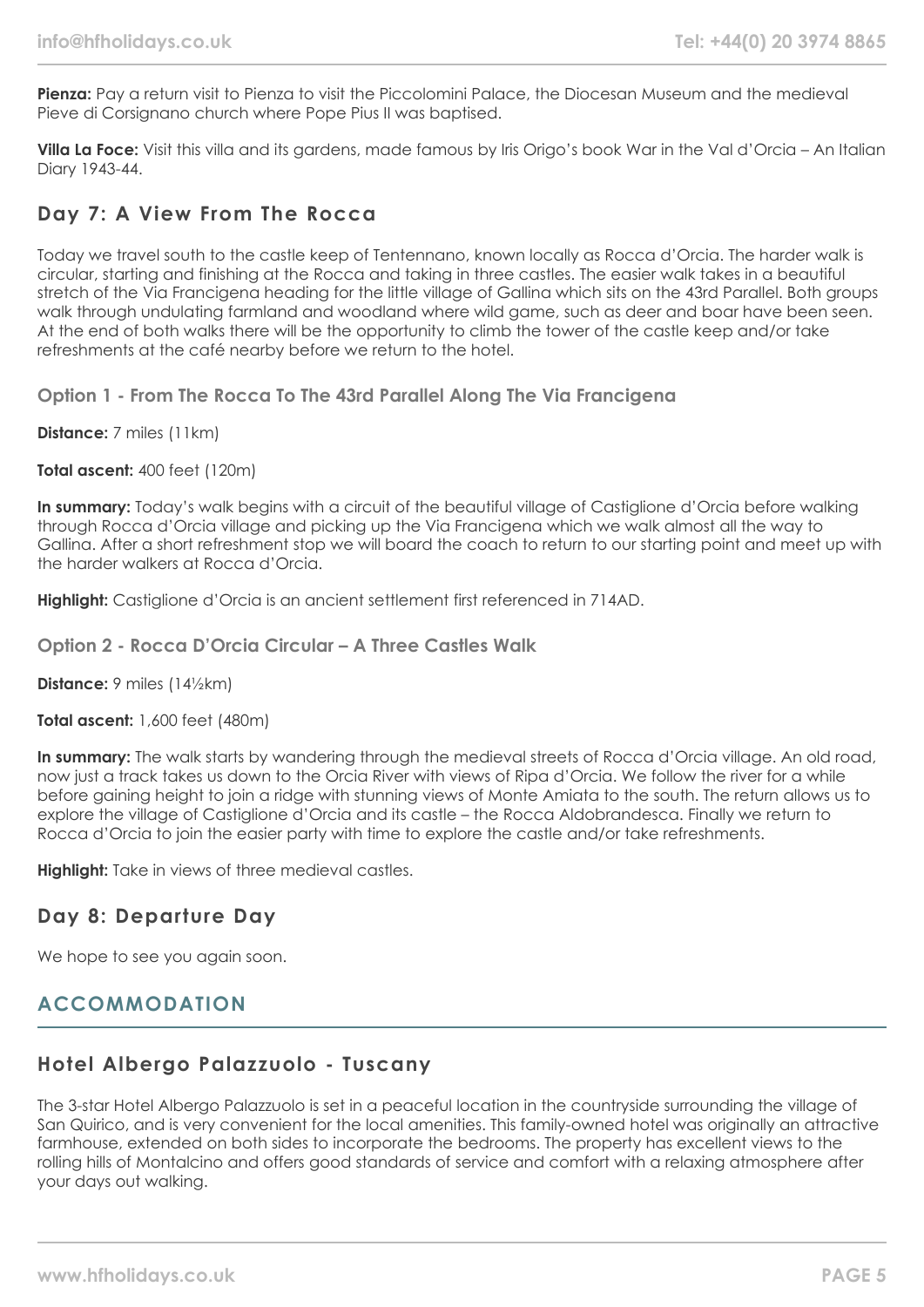Pienza: Pay a return visit to Pienza to visit the Piccolomini Palace, the Diocesan Museum and the medieval Pieve di Corsignano church where Pope Pius II was baptised.

**Villa La Foce:** Visit this villa and its gardens, made famous by Iris Origo's book War in the Val d'Orcia – An Italian Diary 1943-44.

#### **Day 7: A View From The Rocca**

Today we travel south to the castle keep of Tentennano, known locally as Rocca d'Orcia. The harder walk is circular, starting and finishing at the Rocca and taking in three castles. The easier walk takes in a beautiful stretch of the Via Francigena heading for the little village of Gallina which sits on the 43rd Parallel. Both groups walk through undulating farmland and woodland where wild game, such as deer and boar have been seen. At the end of both walks there will be the opportunity to climb the tower of the castle keep and/or take refreshments at the café nearby before we return to the hotel.

**Option 1 - From The Rocca To The 43rd Parallel Along The Via Francigena**

**Distance:** 7 miles (11km)

**Total ascent:** 400 feet (120m)

**In summary:** Today's walk begins with a circuit of the beautiful village of Castiglione d'Orcia before walking through Rocca d'Orcia village and picking up the Via Francigena which we walk almost all the way to Gallina. After a short refreshment stop we will board the coach to return to our starting point and meet up with the harder walkers at Rocca d'Orcia.

**Highlight:** Castiglione d'Orcia is an ancient settlement first referenced in 714AD.

**Option 2 - Rocca D'Orcia Circular – A Three Castles Walk**

**Distance:** 9 miles (14½km)

**Total ascent:** 1,600 feet (480m)

**In summary:** The walk starts by wandering through the medieval streets of Rocca d'Orcia village. An old road, now just a track takes us down to the Orcia River with views of Ripa d'Orcia. We follow the river for a while before gaining height to join a ridge with stunning views of Monte Amiata to the south. The return allows us to explore the village of Castiglione d'Orcia and its castle – the Rocca Aldobrandesca. Finally we return to Rocca d'Orcia to join the easier party with time to explore the castle and/or take refreshments.

**Highlight:** Take in views of three medieval castles.

## **Day 8: Departure Day**

We hope to see you again soon.

## **ACCOMMODATION**

# **Hotel Albergo Palazzuolo - Tuscany**

The 3-star Hotel Albergo Palazzuolo is set in a peaceful location in the countryside surrounding the village of San Quirico, and is very convenient for the local amenities. This family-owned hotel was originally an attractive farmhouse, extended on both sides to incorporate the bedrooms. The property has excellent views to the rolling hills of Montalcino and offers good standards of service and comfort with a relaxing atmosphere after your days out walking.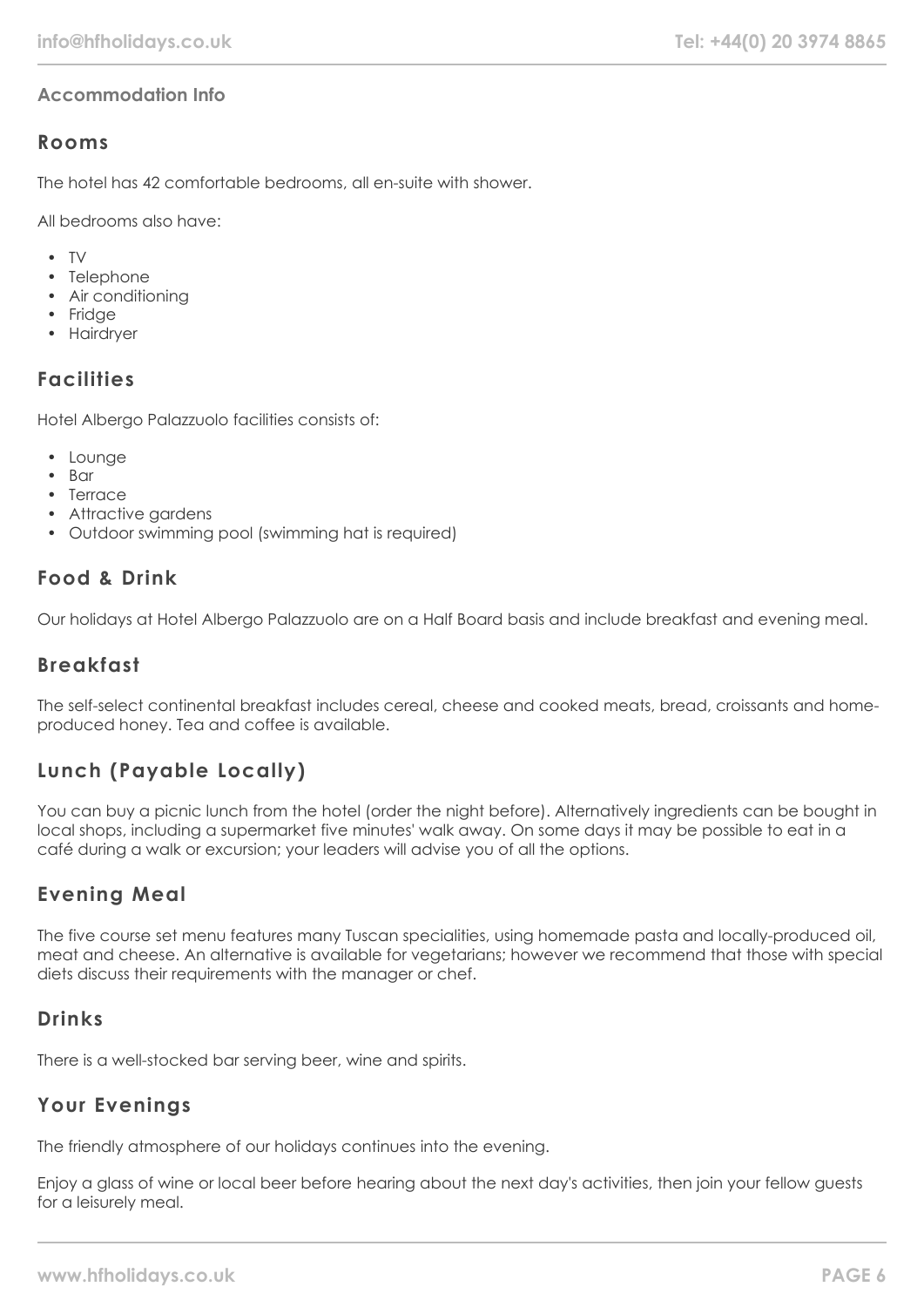## **Accommodation Info**

## **Rooms**

The hotel has 42 comfortable bedrooms, all en-suite with shower.

All bedrooms also have:

- TV
- Telephone
- Air conditioning
- Fridge
- Hairdryer

## **Facilities**

Hotel Albergo Palazzuolo facilities consists of:

- Lounge
- Bar
- Terrace
- Attractive gardens
- Outdoor swimming pool (swimming hat is required)

#### **Food & Drink**

Our holidays at Hotel Albergo Palazzuolo are on a Half Board basis and include breakfast and evening meal.

## **Breakfast**

The self-select continental breakfast includes cereal, cheese and cooked meats, bread, croissants and homeproduced honey. Tea and coffee is available.

# **Lunch (Payable Locally)**

You can buy a picnic lunch from the hotel (order the night before). Alternatively ingredients can be bought in local shops, including a supermarket five minutes' walk away. On some days it may be possible to eat in a café during a walk or excursion; your leaders will advise you of all the options.

## **Evening Meal**

The five course set menu features many Tuscan specialities, using homemade pasta and locally-produced oil, meat and cheese. An alternative is available for vegetarians; however we recommend that those with special diets discuss their requirements with the manager or chef.

## **Drinks**

There is a well-stocked bar serving beer, wine and spirits.

## **Your Evenings**

The friendly atmosphere of our holidays continues into the evening.

Enjoy a glass of wine or local beer before hearing about the next day's activities, then join your fellow guests for a leisurely meal.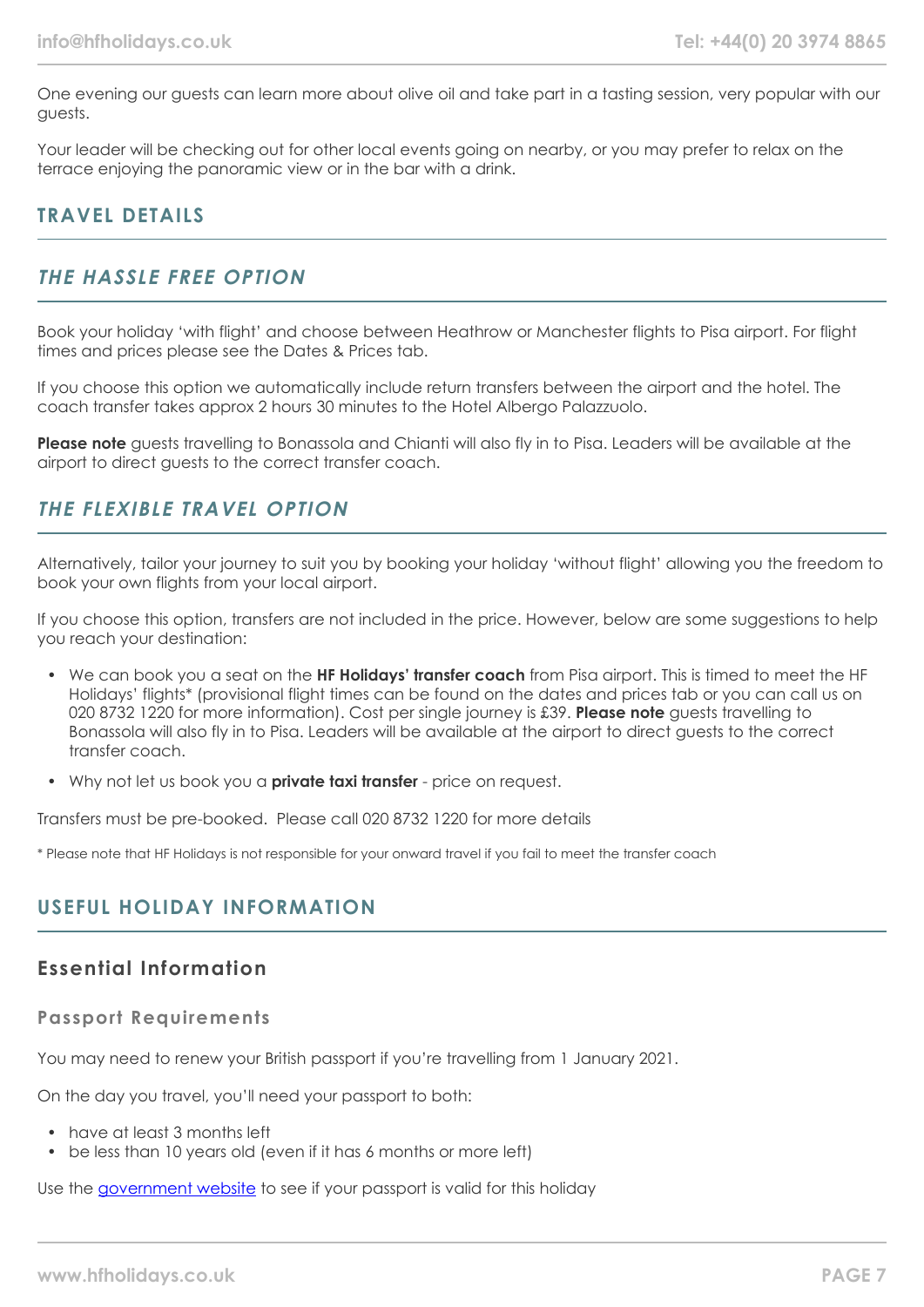One evening our guests can learn more about olive oil and take part in a tasting session, very popular with our guests.

Your leader will be checking out for other local events going on nearby, or you may prefer to relax on the terrace enjoying the panoramic view or in the bar with a drink.

## **TRAVEL DETAILS**

## **THE HASSLE FREE OPTION**

Book your holiday 'with flight' and choose between Heathrow or Manchester flights to Pisa airport. For flight times and prices please see the Dates & Prices tab.

If you choose this option we automatically include return transfers between the airport and the hotel. The coach transfer takes approx 2 hours 30 minutes to the Hotel Albergo Palazzuolo.

**Please note** guests travelling to Bonassola and Chianti will also fly in to Pisa. Leaders will be available at the airport to direct guests to the correct transfer coach.

## **THE FLEXIBLE TRAVEL OPTION**

Alternatively, tailor your journey to suit you by booking your holiday 'without flight' allowing you the freedom to book your own flights from your local airport.

If you choose this option, transfers are not included in the price. However, below are some suggestions to help you reach your destination:

- We can book you a seat on the **HF Holidays' transfer coach** from Pisa airport. This is timed to meet the HF Holidays' flights\* (provisional flight times can be found on the dates and prices tab or you can call us on 020 8732 1220 for more information). Cost per single journey is £39. **Please note** guests travelling to Bonassola will also fly in to Pisa. Leaders will be available at the airport to direct guests to the correct transfer coach.
- Why not let us book you a **private taxi transfer** price on request.

Transfers must be pre-booked. Please call 020 8732 1220 for more details

\* Please note that HF Holidays is not responsible for your onward travel if you fail to meet the transfer coach

## **USEFUL HOLIDAY INFORMATION**

#### **Essential Information**

#### **Passport Requirements**

You may need to renew your British passport if you're travelling from 1 January 2021.

On the day you travel, you'll need your passport to both:

- have at least 3 months left
- be less than 10 years old (even if it has 6 months or more left)

Use the [government website](https://www.gov.uk/check-a-passport-travel-europe-1-january-2021) to see if your passport is valid for this holiday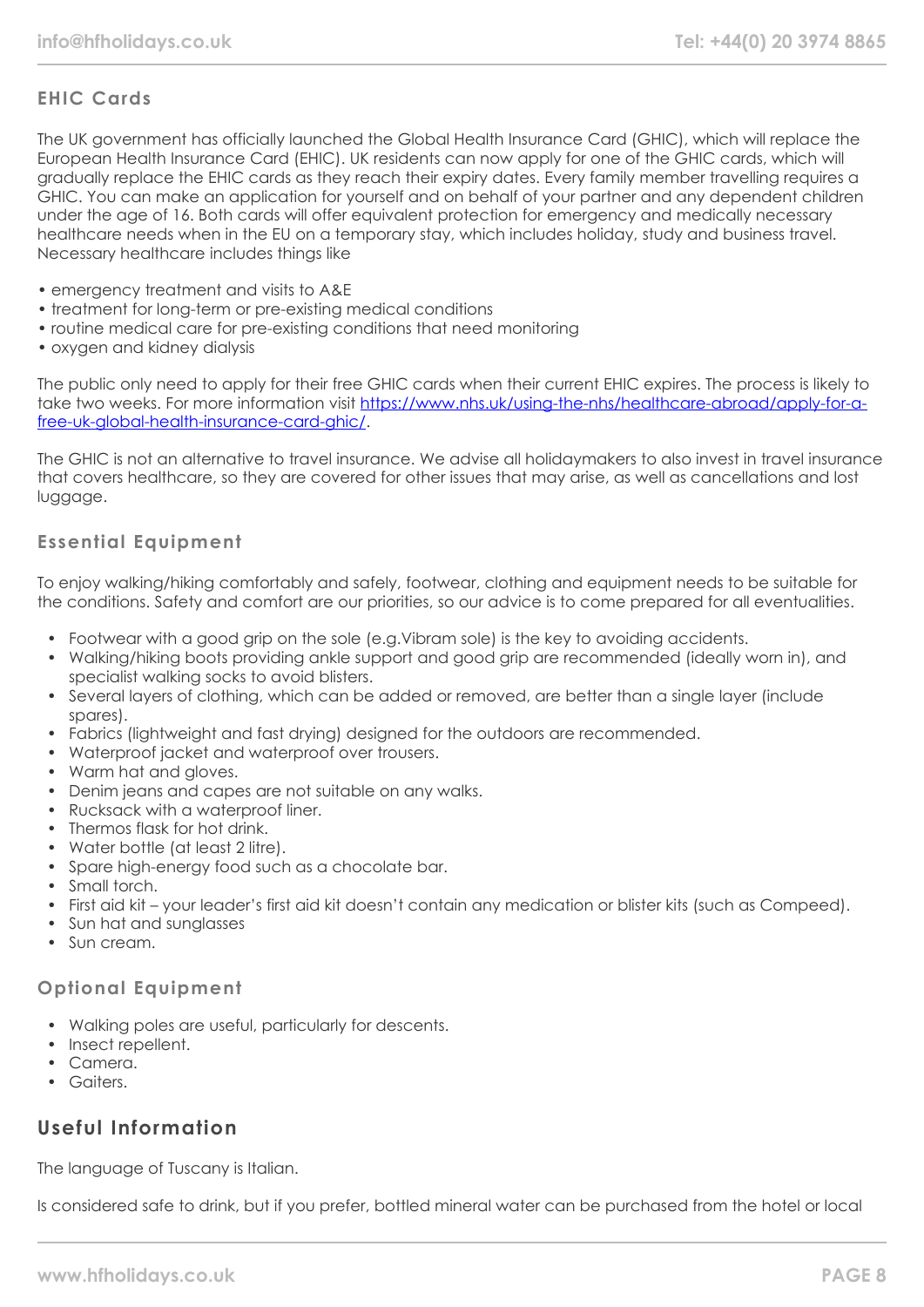## **EHIC Cards**

The UK government has officially launched the Global Health Insurance Card (GHIC), which will replace the European Health Insurance Card (EHIC). UK residents can now apply for one of the GHIC cards, which will gradually replace the EHIC cards as they reach their expiry dates. Every family member travelling requires a GHIC. You can make an application for yourself and on behalf of your partner and any dependent children under the age of 16. Both cards will offer equivalent protection for emergency and medically necessary healthcare needs when in the EU on a temporary stay, which includes holiday, study and business travel. Necessary healthcare includes things like

- emergency treatment and visits to A&E
- treatment for long-term or pre-existing medical conditions
- routine medical care for pre-existing conditions that need monitoring
- oxygen and kidney dialysis

The public only need to apply for their free GHIC cards when their current EHIC expires. The process is likely to take two weeks. For more information visit [https://www.nhs.uk/using-the-nhs/healthcare-abroad/apply-for-a](https://www.nhs.uk/using-the-nhs/healthcare-abroad/apply-for-a-free-uk-global-health-insurance-card-ghic/)[free-uk-global-health-insurance-card-ghic/.](https://www.nhs.uk/using-the-nhs/healthcare-abroad/apply-for-a-free-uk-global-health-insurance-card-ghic/)

The GHIC is not an alternative to travel insurance. We advise all holidaymakers to also invest in travel insurance that covers healthcare, so they are covered for other issues that may arise, as well as cancellations and lost luggage.

#### **Essential Equipment**

To enjoy walking/hiking comfortably and safely, footwear, clothing and equipment needs to be suitable for the conditions. Safety and comfort are our priorities, so our advice is to come prepared for all eventualities.

- Footwear with a good grip on the sole (e.g.Vibram sole) is the key to avoiding accidents.
- Walking/hiking boots providing ankle support and good grip are recommended (ideally worn in), and specialist walking socks to avoid blisters.
- Several layers of clothing, which can be added or removed, are better than a single layer (include spares).
- Fabrics (lightweight and fast drying) designed for the outdoors are recommended.
- Waterproof jacket and waterproof over trousers.
- Warm hat and gloves.
- Denim jeans and capes are not suitable on any walks.
- Rucksack with a waterproof liner.
- Thermos flask for hot drink
- Water bottle (at least 2 litre).
- Spare high-energy food such as a chocolate bar.
- Small torch.
- First aid kit your leader's first aid kit doesn't contain any medication or blister kits (such as Compeed).
- Sun hat and sunglasses
- Sun cream

#### **Optional Equipment**

- Walking poles are useful, particularly for descents.
- Insect repellent.
- Camera.
- Gaiters.

# **Useful Information**

The language of Tuscany is Italian.

Is considered safe to drink, but if you prefer, bottled mineral water can be purchased from the hotel or local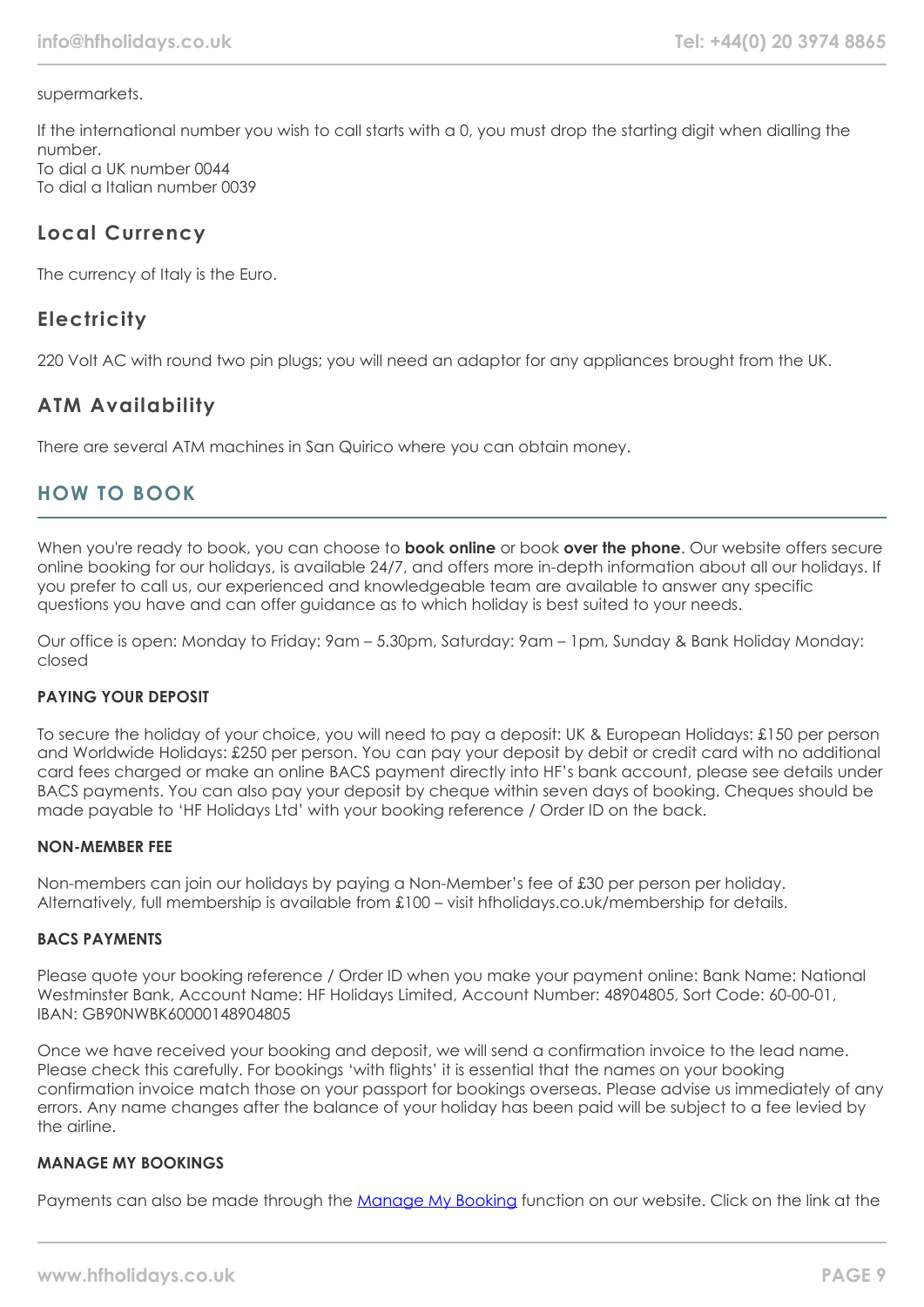#### supermarkets.

If the international number you wish to call starts with a 0, you must drop the starting digit when dialling the number. To dial a UK number 0044 To dial a Italian number 0039

**Local Currency**

The currency of Italy is the Euro.

# **Electricity**

220 Volt AC with round two pin plugs; you will need an adaptor for any appliances brought from the UK.

# **ATM Availability**

There are several ATM machines in San Quirico where you can obtain money.

# **HOW TO BOOK**

When you're ready to book, you can choose to **book online** or book **over the phone**. Our website offers secure online booking for our holidays, is available 24/7, and offers more in-depth information about all our holidays. If you prefer to call us, our experienced and knowledgeable team are available to answer any specific questions you have and can offer guidance as to which holiday is best suited to your needs.

Our office is open: Monday to Friday: 9am – 5.30pm, Saturday: 9am – 1pm, Sunday & Bank Holiday Monday: closed

#### **PAYING YOUR DEPOSIT**

To secure the holiday of your choice, you will need to pay a deposit: UK & European Holidays: £150 per person and Worldwide Holidays: £250 per person. You can pay your deposit by debit or credit card with no additional card fees charged or make an online BACS payment directly into HF's bank account, please see details under BACS payments. You can also pay your deposit by cheque within seven days of booking. Cheques should be made payable to 'HF Holidays Ltd' with your booking reference / Order ID on the back.

#### **NON-MEMBER FEE**

Non-members can join our holidays by paying a Non-Member's fee of £30 per person per holiday. Alternatively, full membership is available from £100 – visit hfholidays.co.uk/membership for details.

#### **BACS PAYMENTS**

Please quote your booking reference / Order ID when you make your payment online: Bank Name: National Westminster Bank, Account Name: HF Holidays Limited, Account Number: 48904805, Sort Code: 60-00-01, IBAN: GB90NWBK60000148904805

Once we have received your booking and deposit, we will send a confirmation invoice to the lead name. Please check this carefully. For bookings 'with flights' it is essential that the names on your booking confirmation invoice match those on your passport for bookings overseas. Please advise us immediately of any errors. Any name changes after the balance of your holiday has been paid will be subject to a fee levied by the airline.

#### **MANAGE MY BOOKINGS**

Payments can also be made through the [Manage My Booking](https://www.hfholidays.co.uk/about-us/bookings/my-booking) function on our website. Click on the link at the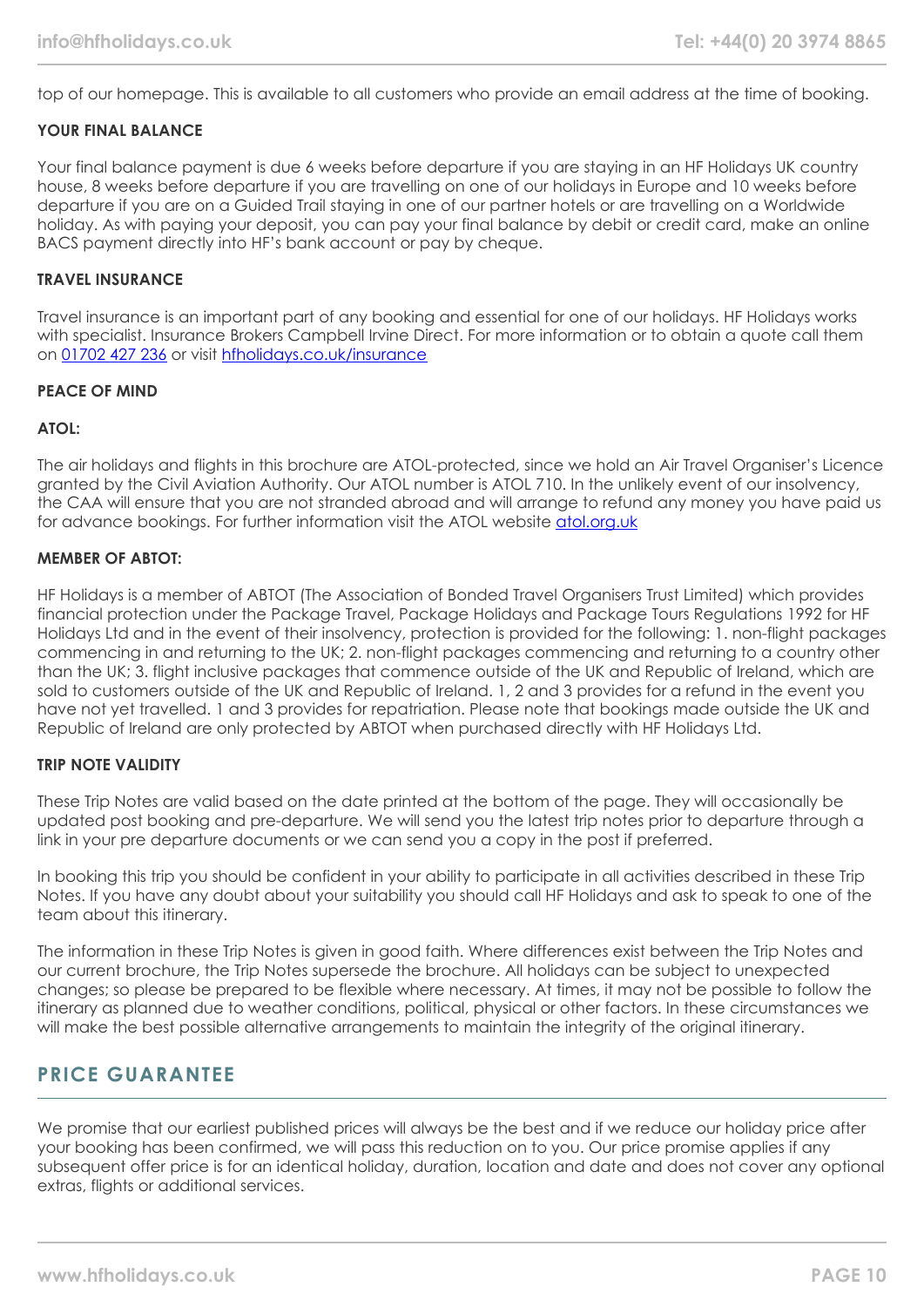top of our homepage. This is available to all customers who provide an email address at the time of booking.

#### **YOUR FINAL BALANCE**

Your final balance payment is due 6 weeks before departure if you are staying in an HF Holidays UK country house, 8 weeks before departure if you are travelling on one of our holidays in Europe and 10 weeks before departure if you are on a Guided Trail staying in one of our partner hotels or are travelling on a Worldwide holiday. As with paying your deposit, you can pay your final balance by debit or credit card, make an online BACS payment directly into HF's bank account or pay by cheque.

#### **TRAVEL INSURANCE**

Travel insurance is an important part of any booking and essential for one of our holidays. HF Holidays works with specialist. Insurance Brokers Campbell Irvine Direct. For more information or to obtain a quote call them on [01702 427 236](tel:01702427236) or visit [hfholidays.co.uk/insurance](https://www.hfholidays.co.uk/about-us/bookings/insurance)

#### **PEACE OF MIND**

#### **ATOL:**

The air holidays and flights in this brochure are ATOL-protected, since we hold an Air Travel Organiser's Licence granted by the Civil Aviation Authority. Our ATOL number is ATOL 710. In the unlikely event of our insolvency, the CAA will ensure that you are not stranded abroad and will arrange to refund any money you have paid us for advance bookings. For further information visit the ATOL website [atol.org.uk](https://www.atol.org/)

#### **MEMBER OF ABTOT:**

HF Holidays is a member of ABTOT (The Association of Bonded Travel Organisers Trust Limited) which provides financial protection under the Package Travel, Package Holidays and Package Tours Regulations 1992 for HF Holidays Ltd and in the event of their insolvency, protection is provided for the following: 1. non-flight packages commencing in and returning to the UK; 2. non-flight packages commencing and returning to a country other than the UK; 3. flight inclusive packages that commence outside of the UK and Republic of Ireland, which are sold to customers outside of the UK and Republic of Ireland. 1, 2 and 3 provides for a refund in the event you have not yet travelled. 1 and 3 provides for repatriation. Please note that bookings made outside the UK and Republic of Ireland are only protected by ABTOT when purchased directly with HF Holidays Ltd.

#### **TRIP NOTE VALIDITY**

These Trip Notes are valid based on the date printed at the bottom of the page. They will occasionally be updated post booking and pre-departure. We will send you the latest trip notes prior to departure through a link in your pre departure documents or we can send you a copy in the post if preferred.

In booking this trip you should be confident in your ability to participate in all activities described in these Trip Notes. If you have any doubt about your suitability you should call HF Holidays and ask to speak to one of the team about this itinerary.

The information in these Trip Notes is given in good faith. Where differences exist between the Trip Notes and our current brochure, the Trip Notes supersede the brochure. All holidays can be subject to unexpected changes; so please be prepared to be flexible where necessary. At times, it may not be possible to follow the itinerary as planned due to weather conditions, political, physical or other factors. In these circumstances we will make the best possible alternative arrangements to maintain the integrity of the original itinerary.

#### **PRICE GUARANTEE**

We promise that our earliest published prices will always be the best and if we reduce our holiday price after your booking has been confirmed, we will pass this reduction on to you. Our price promise applies if any subsequent offer price is for an identical holiday, duration, location and date and does not cover any optional extras, flights or additional services.